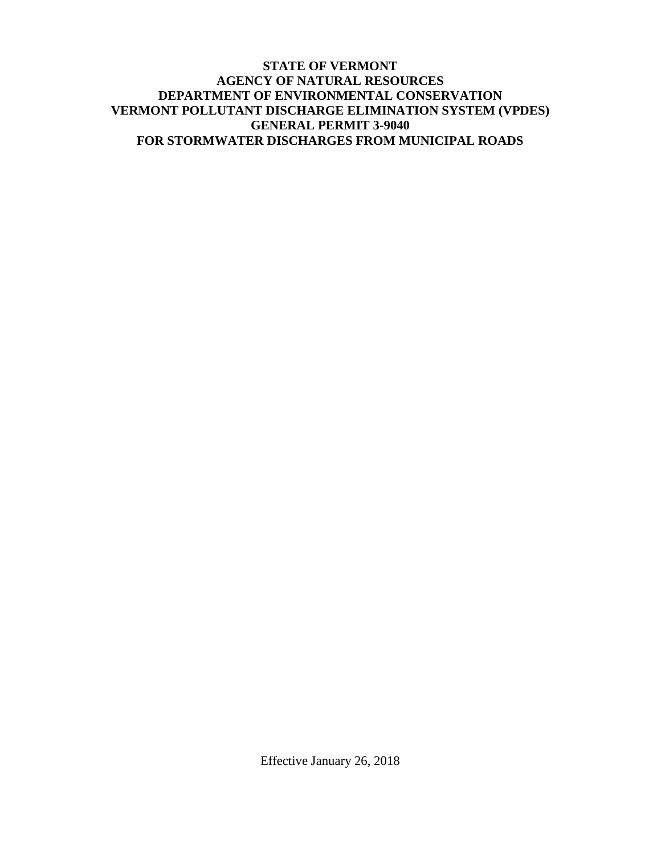#### **STATE OF VERMONT AGENCY OF NATURAL RESOURCES DEPARTMENT OF ENVIRONMENTAL CONSERVATION VERMONT POLLUTANT DISCHARGE ELIMINATION SYSTEM (VPDES) GENERAL PERMIT 3-9040 FOR STORMWATER DISCHARGES FROM MUNICIPAL ROADS**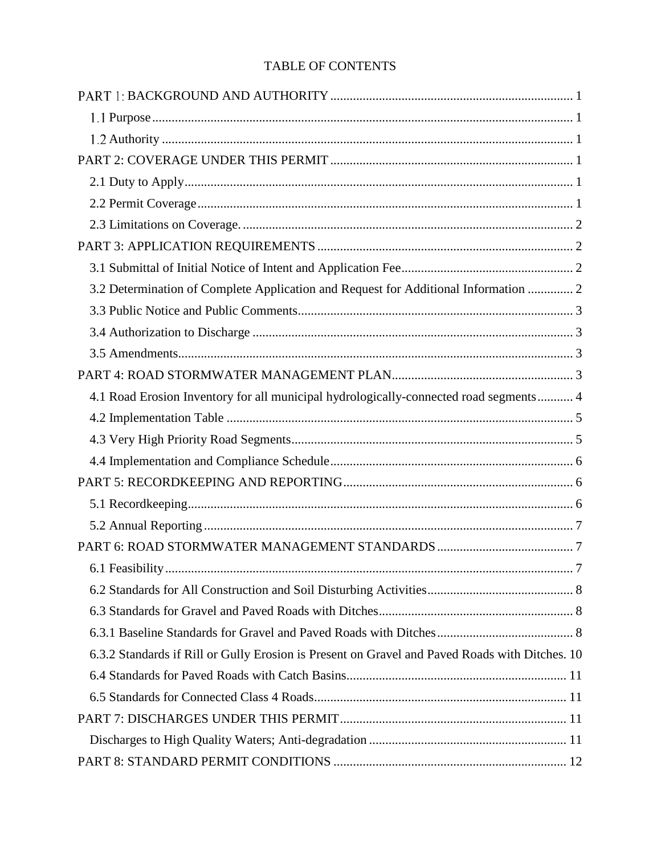# TABLE OF CONTENTS

| 3.2 Determination of Complete Application and Request for Additional Information  2            |  |
|------------------------------------------------------------------------------------------------|--|
|                                                                                                |  |
|                                                                                                |  |
|                                                                                                |  |
|                                                                                                |  |
| 4.1 Road Erosion Inventory for all municipal hydrologically-connected road segments 4          |  |
|                                                                                                |  |
|                                                                                                |  |
|                                                                                                |  |
|                                                                                                |  |
|                                                                                                |  |
|                                                                                                |  |
|                                                                                                |  |
|                                                                                                |  |
|                                                                                                |  |
|                                                                                                |  |
|                                                                                                |  |
| 6.3.2 Standards if Rill or Gully Erosion is Present on Gravel and Paved Roads with Ditches. 10 |  |
|                                                                                                |  |
|                                                                                                |  |
|                                                                                                |  |
|                                                                                                |  |
|                                                                                                |  |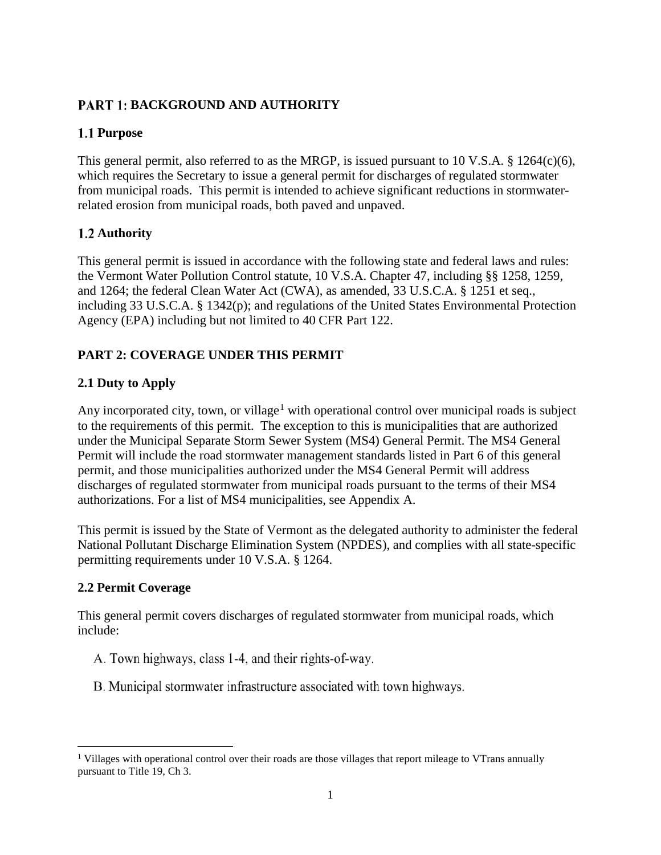# <span id="page-4-0"></span>**PART 1: BACKGROUND AND AUTHORITY**

## <span id="page-4-1"></span>1.1 Purpose

This general permit, also referred to as the MRGP, is issued pursuant to 10 V.S.A. § 1264(c)(6), which requires the Secretary to issue a general permit for discharges of regulated stormwater from municipal roads. This permit is intended to achieve significant reductions in stormwaterrelated erosion from municipal roads, both paved and unpaved.

## <span id="page-4-2"></span>1.2 Authority

This general permit is issued in accordance with the following state and federal laws and rules: the Vermont Water Pollution Control statute, 10 V.S.A. Chapter 47, including §§ 1258, 1259, and 1264; the federal Clean Water Act (CWA), as amended, 33 U.S.C.A. § 1251 et seq., including 33 U.S.C.A. § 1342(p); and regulations of the United States Environmental Protection Agency (EPA) including but not limited to 40 CFR Part 122.

# <span id="page-4-3"></span>**PART 2: COVERAGE UNDER THIS PERMIT**

# <span id="page-4-4"></span>**2.1 Duty to Apply**

Any incorporated city, town, or village<sup>[1](#page-4-6)</sup> with operational control over municipal roads is subject to the requirements of this permit. The exception to this is municipalities that are authorized under the Municipal Separate Storm Sewer System (MS4) General Permit. The MS4 General Permit will include the road stormwater management standards listed in Part 6 of this general permit, and those municipalities authorized under the MS4 General Permit will address discharges of regulated stormwater from municipal roads pursuant to the terms of their MS4 authorizations. For a list of MS4 municipalities, see Appendix A.

This permit is issued by the State of Vermont as the delegated authority to administer the federal National Pollutant Discharge Elimination System (NPDES), and complies with all state-specific permitting requirements under 10 V.S.A. § 1264.

## <span id="page-4-5"></span>**2.2 Permit Coverage**

This general permit covers discharges of regulated stormwater from municipal roads, which include:

- A. Town highways, class 1-4, and their rights-of-way.
- B. Municipal stormwater infrastructure associated with town highways.

<span id="page-4-6"></span>l <sup>1</sup> Villages with operational control over their roads are those villages that report mileage to VTrans annually pursuant to Title 19, Ch 3.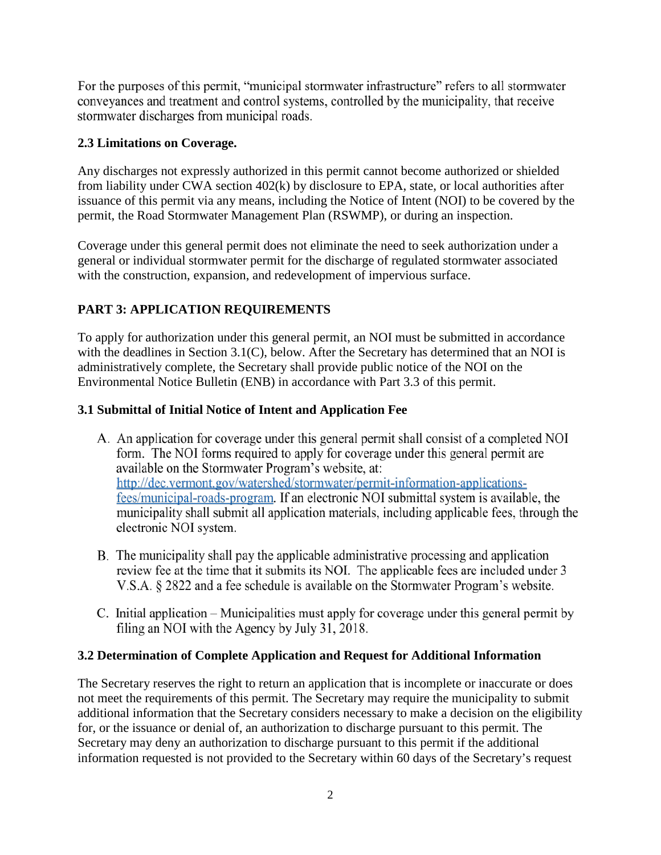For the purposes of this permit, "municipal stormwater infrastructure" refers to all stormwater conveyances and treatment and control systems, controlled by the municipality, that receive stormwater discharges from municipal roads.

### <span id="page-5-0"></span>**2.3 Limitations on Coverage.**

Any discharges not expressly authorized in this permit cannot become authorized or shielded from liability under CWA section 402(k) by disclosure to EPA, state, or local authorities after issuance of this permit via any means, including the Notice of Intent (NOI) to be covered by the permit, the Road Stormwater Management Plan (RSWMP), or during an inspection.

Coverage under this general permit does not eliminate the need to seek authorization under a general or individual stormwater permit for the discharge of regulated stormwater associated with the construction, expansion, and redevelopment of impervious surface.

## <span id="page-5-1"></span>**PART 3: APPLICATION REQUIREMENTS**

To apply for authorization under this general permit, an NOI must be submitted in accordance with the deadlines in Section 3.1(C), below. After the Secretary has determined that an NOI is administratively complete, the Secretary shall provide public notice of the NOI on the Environmental Notice Bulletin (ENB) in accordance with Part 3.3 of this permit.

### <span id="page-5-2"></span>**3.1 Submittal of Initial Notice of Intent and Application Fee**

- A. An application for coverage under this general permit shall consist of a completed NOI form. The NOI forms required to apply for coverage under this general permit are available on the Stormwater Program's website, at: http://dec.vermont.gov/watershed/stormwater/permit-information-applicationsfees/municipal-roads-program. If an electronic NOI submittal system is available, the municipality shall submit all application materials, including applicable fees, through the electronic NOI system.
- B. The municipality shall pay the applicable administrative processing and application review fee at the time that it submits its NOI. The applicable fees are included under 3 V.S.A. § 2822 and a fee schedule is available on the Stormwater Program's website.
- C. Initial application Municipalities must apply for coverage under this general permit by filing an NOI with the Agency by July 31, 2018.

## <span id="page-5-3"></span>**3.2 Determination of Complete Application and Request for Additional Information**

The Secretary reserves the right to return an application that is incomplete or inaccurate or does not meet the requirements of this permit. The Secretary may require the municipality to submit additional information that the Secretary considers necessary to make a decision on the eligibility for, or the issuance or denial of, an authorization to discharge pursuant to this permit. The Secretary may deny an authorization to discharge pursuant to this permit if the additional information requested is not provided to the Secretary within 60 days of the Secretary's request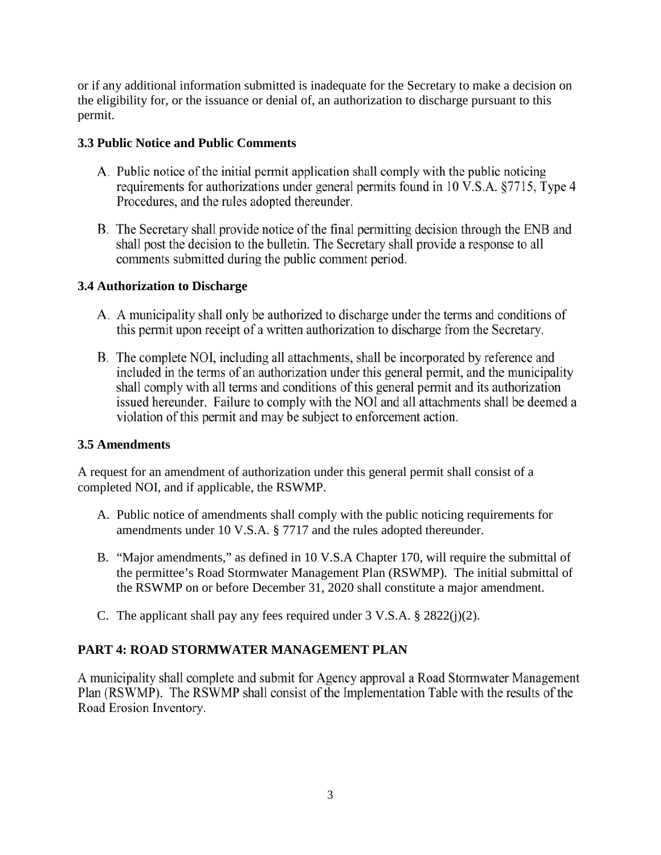or if any additional information submitted is inadequate for the Secretary to make a decision on the eligibility for, or the issuance or denial of, an authorization to discharge pursuant to this permit.

#### <span id="page-6-0"></span>**3.3 Public Notice and Public Comments**

- A. Public notice of the initial permit application shall comply with the public noticing requirements for authorizations under general permits found in 10 V.S.A. §7715, Type 4 Procedures, and the rules adopted thereunder.
- B. The Secretary shall provide notice of the final permitting decision through the ENB and shall post the decision to the bulletin. The Secretary shall provide a response to all comments submitted during the public comment period.

## <span id="page-6-1"></span>**3.4 Authorization to Discharge**

- A. A municipality shall only be authorized to discharge under the terms and conditions of this permit upon receipt of a written authorization to discharge from the Secretary.
- B. The complete NOI, including all attachments, shall be incorporated by reference and included in the terms of an authorization under this general permit, and the municipality shall comply with all terms and conditions of this general permit and its authorization issued hereunder. Failure to comply with the NOI and all attachments shall be deemed a violation of this permit and may be subject to enforcement action.

## <span id="page-6-2"></span>**3.5 Amendments**

A request for an amendment of authorization under this general permit shall consist of a completed NOI, and if applicable, the RSWMP.

- A. Public notice of amendments shall comply with the public noticing requirements for amendments under 10 V.S.A. § 7717 and the rules adopted thereunder.
- B. "Major amendments," as defined in 10 V.S.A Chapter 170, will require the submittal of the permittee's Road Stormwater Management Plan (RSWMP). The initial submittal of the RSWMP on or before December 31, 2020 shall constitute a major amendment.
- C. The applicant shall pay any fees required under 3 V.S.A. § 2822(j)(2).

## <span id="page-6-3"></span>**PART 4: ROAD STORMWATER MANAGEMENT PLAN**

A municipality shall complete and submit for Agency approval a Road Stormwater Management Plan (RSWMP). The RSWMP shall consist of the Implementation Table with the results of the Road Erosion Inventory.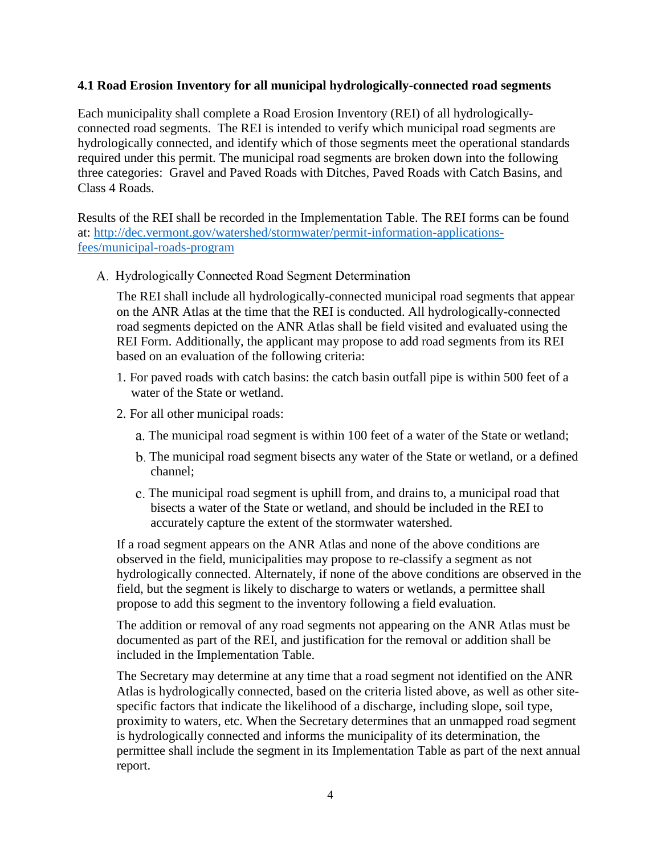#### <span id="page-7-0"></span>**4.1 Road Erosion Inventory for all municipal hydrologically-connected road segments**

Each municipality shall complete a Road Erosion Inventory (REI) of all hydrologicallyconnected road segments. The REI is intended to verify which municipal road segments are hydrologically connected, and identify which of those segments meet the operational standards required under this permit. The municipal road segments are broken down into the following three categories: Gravel and Paved Roads with Ditches, Paved Roads with Catch Basins, and Class 4 Roads.

Results of the REI shall be recorded in the Implementation Table. The REI forms can be found at: [http://dec.vermont.gov/watershed/stormwater/permit-information-applications](http://dec.vermont.gov/watershed/stormwater/permit-information-applications-fees/municipal-roads-program)[fees/municipal-roads-program](http://dec.vermont.gov/watershed/stormwater/permit-information-applications-fees/municipal-roads-program)

A. Hydrologically Connected Road Segment Determination

The REI shall include all hydrologically-connected municipal road segments that appear on the ANR Atlas at the time that the REI is conducted. All hydrologically-connected road segments depicted on the ANR Atlas shall be field visited and evaluated using the REI Form. Additionally, the applicant may propose to add road segments from its REI based on an evaluation of the following criteria:

- 1. For paved roads with catch basins: the catch basin outfall pipe is within 500 feet of a water of the State or wetland.
- 2. For all other municipal roads:
	- a. The municipal road segment is within 100 feet of a water of the State or wetland;
	- The municipal road segment bisects any water of the State or wetland, or a defined channel;
	- The municipal road segment is uphill from, and drains to, a municipal road that bisects a water of the State or wetland, and should be included in the REI to accurately capture the extent of the stormwater watershed.

If a road segment appears on the ANR Atlas and none of the above conditions are observed in the field, municipalities may propose to re-classify a segment as not hydrologically connected. Alternately, if none of the above conditions are observed in the field, but the segment is likely to discharge to waters or wetlands, a permittee shall propose to add this segment to the inventory following a field evaluation.

The addition or removal of any road segments not appearing on the ANR Atlas must be documented as part of the REI, and justification for the removal or addition shall be included in the Implementation Table.

The Secretary may determine at any time that a road segment not identified on the ANR Atlas is hydrologically connected, based on the criteria listed above, as well as other sitespecific factors that indicate the likelihood of a discharge, including slope, soil type, proximity to waters, etc. When the Secretary determines that an unmapped road segment is hydrologically connected and informs the municipality of its determination, the permittee shall include the segment in its Implementation Table as part of the next annual report.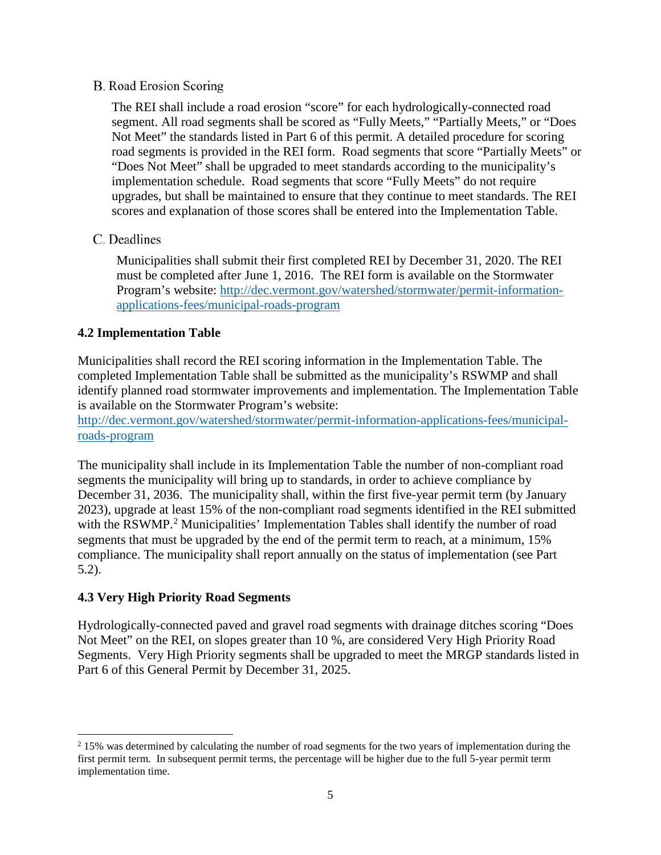#### **B.** Road Erosion Scoring

The REI shall include a road erosion "score" for each hydrologically-connected road segment. All road segments shall be scored as "Fully Meets," "Partially Meets," or "Does Not Meet" the standards listed in Part 6 of this permit. A detailed procedure for scoring road segments is provided in the REI form. Road segments that score "Partially Meets" or "Does Not Meet" shall be upgraded to meet standards according to the municipality's implementation schedule. Road segments that score "Fully Meets" do not require upgrades, but shall be maintained to ensure that they continue to meet standards. The REI scores and explanation of those scores shall be entered into the Implementation Table.

### C. Deadlines

Municipalities shall submit their first completed REI by December 31, 2020. The REI must be completed after June 1, 2016. The REI form is available on the Stormwater Program's website: [http://dec.vermont.gov/watershed/stormwater/permit-information](http://dec.vermont.gov/watershed/stormwater/permit-information-applications-fees/municipal-roads-program)[applications-fees/municipal-roads-program](http://dec.vermont.gov/watershed/stormwater/permit-information-applications-fees/municipal-roads-program)

#### <span id="page-8-0"></span>**4.2 Implementation Table**

Municipalities shall record the REI scoring information in the Implementation Table. The completed Implementation Table shall be submitted as the municipality's RSWMP and shall identify planned road stormwater improvements and implementation. The Implementation Table is available on the Stormwater Program's website:

[http://dec.vermont.gov/watershed/stormwater/permit-information-applications-fees/municipal](http://dec.vermont.gov/watershed/stormwater/permit-information-applications-fees/municipal-roads-program)[roads-program](http://dec.vermont.gov/watershed/stormwater/permit-information-applications-fees/municipal-roads-program)

The municipality shall include in its Implementation Table the number of non-compliant road segments the municipality will bring up to standards, in order to achieve compliance by December 31, 2036. The municipality shall, within the first five-year permit term (by January 2023), upgrade at least 15% of the non-compliant road segments identified in the REI submitted with the RSWMP.<sup>[2](#page-8-2)</sup> Municipalities' Implementation Tables shall identify the number of road segments that must be upgraded by the end of the permit term to reach, at a minimum, 15% compliance. The municipality shall report annually on the status of implementation (see Part 5.2).

#### <span id="page-8-1"></span>**4.3 Very High Priority Road Segments**

l

Hydrologically-connected paved and gravel road segments with drainage ditches scoring "Does Not Meet" on the REI, on slopes greater than 10 %, are considered Very High Priority Road Segments. Very High Priority segments shall be upgraded to meet the MRGP standards listed in Part 6 of this General Permit by December 31, 2025.

<span id="page-8-2"></span><sup>&</sup>lt;sup>2</sup> 15% was determined by calculating the number of road segments for the two years of implementation during the first permit term. In subsequent permit terms, the percentage will be higher due to the full 5-year permit term implementation time.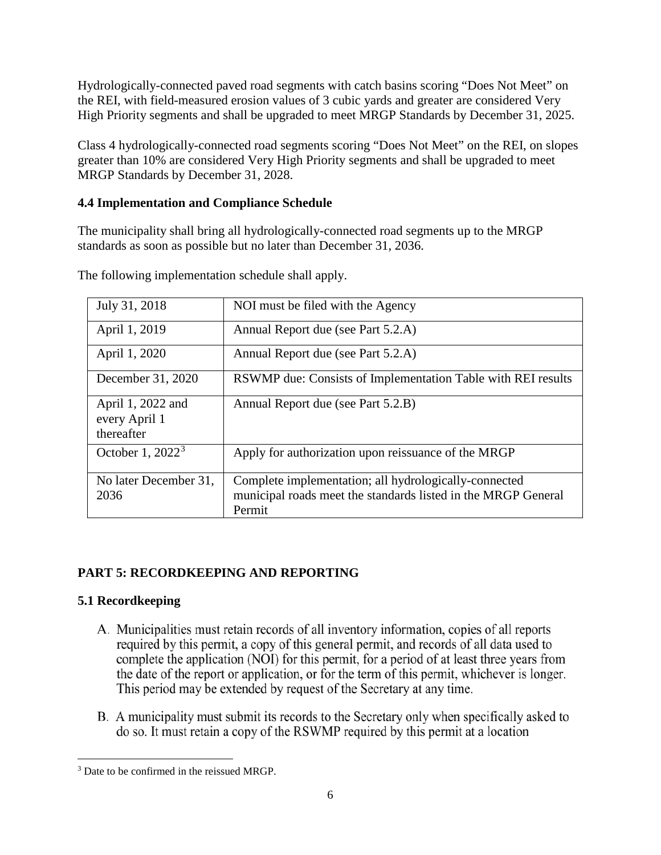Hydrologically-connected paved road segments with catch basins scoring "Does Not Meet" on the REI, with field-measured erosion values of 3 cubic yards and greater are considered Very High Priority segments and shall be upgraded to meet MRGP Standards by December 31, 2025.

Class 4 hydrologically-connected road segments scoring "Does Not Meet" on the REI, on slopes greater than 10% are considered Very High Priority segments and shall be upgraded to meet MRGP Standards by December 31, 2028.

### <span id="page-9-0"></span>**4.4 Implementation and Compliance Schedule**

The municipality shall bring all hydrologically-connected road segments up to the MRGP standards as soon as possible but no later than December 31, 2036.

| July 31, 2018                                    | NOI must be filed with the Agency                                                                                                |
|--------------------------------------------------|----------------------------------------------------------------------------------------------------------------------------------|
| April 1, 2019                                    | Annual Report due (see Part 5.2.A)                                                                                               |
| April 1, 2020                                    | Annual Report due (see Part 5.2.A)                                                                                               |
| December 31, 2020                                | RSWMP due: Consists of Implementation Table with REI results                                                                     |
| April 1, 2022 and<br>every April 1<br>thereafter | Annual Report due (see Part 5.2.B)                                                                                               |
| October 1, $20223$                               | Apply for authorization upon reissuance of the MRGP                                                                              |
| No later December 31,<br>2036                    | Complete implementation; all hydrologically-connected<br>municipal roads meet the standards listed in the MRGP General<br>Permit |

The following implementation schedule shall apply.

# <span id="page-9-1"></span>**PART 5: RECORDKEEPING AND REPORTING**

## <span id="page-9-2"></span>**5.1 Recordkeeping**

- A. Municipalities must retain records of all inventory information, copies of all reports required by this permit, a copy of this general permit, and records of all data used to complete the application (NOI) for this permit, for a period of at least three years from the date of the report or application, or for the term of this permit, whichever is longer. This period may be extended by request of the Secretary at any time.
- B. A municipality must submit its records to the Secretary only when specifically asked to do so. It must retain a copy of the RSWMP required by this permit at a location

<span id="page-9-3"></span>l <sup>3</sup> Date to be confirmed in the reissued MRGP.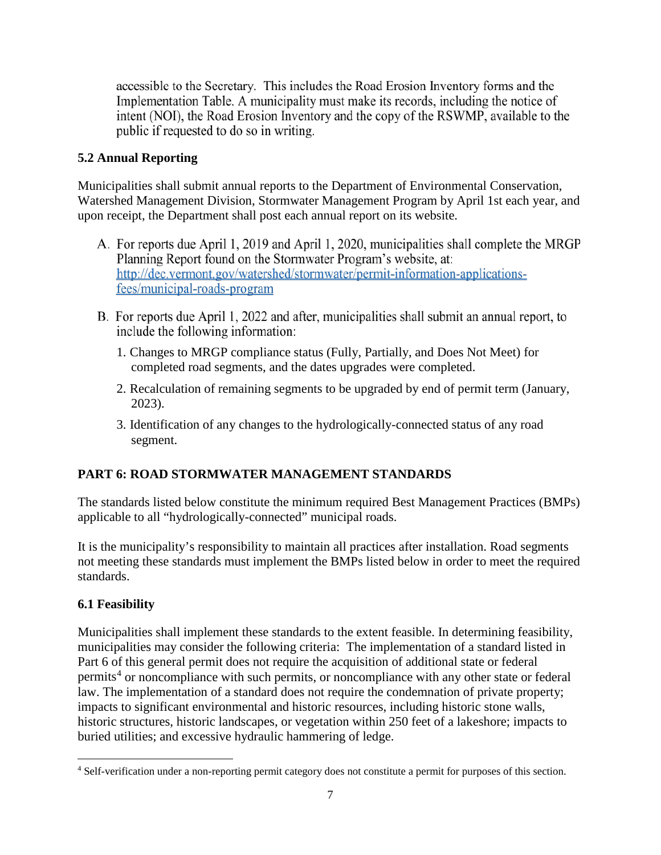accessible to the Secretary. This includes the Road Erosion Inventory forms and the Implementation Table. A municipality must make its records, including the notice of intent (NOI), the Road Erosion Inventory and the copy of the RSWMP, available to the public if requested to do so in writing.

## <span id="page-10-0"></span>**5.2 Annual Reporting**

Municipalities shall submit annual reports to the Department of Environmental Conservation, Watershed Management Division, Stormwater Management Program by April 1st each year, and upon receipt, the Department shall post each annual report on its website.

- A. For reports due April 1, 2019 and April 1, 2020, municipalities shall complete the MRGP Planning Report found on the Stormwater Program's website, at: http://dec.vermont.gov/watershed/stormwater/permit-information-applicationsfees/municipal-roads-program
- B. For reports due April 1, 2022 and after, municipalities shall submit an annual report, to include the following information:
	- 1. Changes to MRGP compliance status (Fully, Partially, and Does Not Meet) for completed road segments, and the dates upgrades were completed.
	- 2. Recalculation of remaining segments to be upgraded by end of permit term (January, 2023).
	- 3. Identification of any changes to the hydrologically-connected status of any road segment.

## <span id="page-10-1"></span>**PART 6: ROAD STORMWATER MANAGEMENT STANDARDS**

The standards listed below constitute the minimum required Best Management Practices (BMPs) applicable to all "hydrologically-connected" municipal roads.

It is the municipality's responsibility to maintain all practices after installation. Road segments not meeting these standards must implement the BMPs listed below in order to meet the required standards.

# <span id="page-10-2"></span>**6.1 Feasibility**

l

Municipalities shall implement these standards to the extent feasible. In determining feasibility, municipalities may consider the following criteria: The implementation of a standard listed in Part 6 of this general permit does not require the acquisition of additional state or federal permits<sup>[4](#page-10-3)</sup> or noncompliance with such permits, or noncompliance with any other state or federal law. The implementation of a standard does not require the condemnation of private property; impacts to significant environmental and historic resources, including historic stone walls, historic structures, historic landscapes, or vegetation within 250 feet of a lakeshore; impacts to buried utilities; and excessive hydraulic hammering of ledge.

<span id="page-10-3"></span><sup>4</sup> Self-verification under a non-reporting permit category does not constitute a permit for purposes of this section.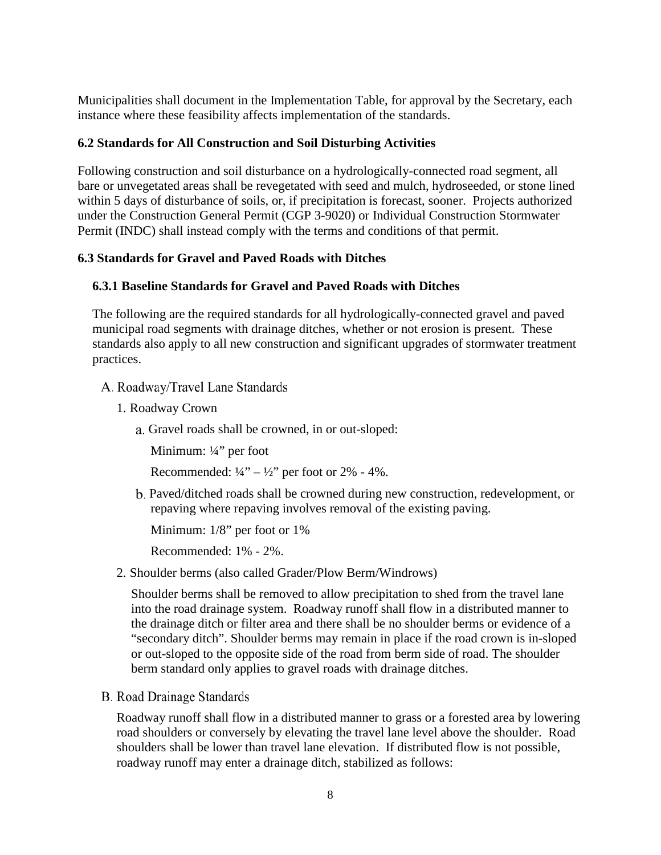Municipalities shall document in the Implementation Table, for approval by the Secretary, each instance where these feasibility affects implementation of the standards.

#### <span id="page-11-0"></span>**6.2 Standards for All Construction and Soil Disturbing Activities**

Following construction and soil disturbance on a hydrologically-connected road segment, all bare or unvegetated areas shall be revegetated with seed and mulch, hydroseeded, or stone lined within 5 days of disturbance of soils, or, if precipitation is forecast, sooner. Projects authorized under the Construction General Permit (CGP 3-9020) or Individual Construction Stormwater Permit (INDC) shall instead comply with the terms and conditions of that permit.

#### <span id="page-11-1"></span>**6.3 Standards for Gravel and Paved Roads with Ditches**

#### <span id="page-11-2"></span>**6.3.1 Baseline Standards for Gravel and Paved Roads with Ditches**

The following are the required standards for all hydrologically-connected gravel and paved municipal road segments with drainage ditches, whether or not erosion is present. These standards also apply to all new construction and significant upgrades of stormwater treatment practices.

- A. Roadway/Travel Lane Standards
	- 1. Roadway Crown
		- a. Gravel roads shall be crowned, in or out-sloped:

Minimum: ¼" per foot

Recommended:  $\frac{1}{4}$ " –  $\frac{1}{2}$ " per foot or 2% - 4%.

Paved/ditched roads shall be crowned during new construction, redevelopment, or repaving where repaving involves removal of the existing paving.

Minimum: 1/8" per foot or 1%

Recommended: 1% - 2%.

2. Shoulder berms (also called Grader/Plow Berm/Windrows)

Shoulder berms shall be removed to allow precipitation to shed from the travel lane into the road drainage system. Roadway runoff shall flow in a distributed manner to the drainage ditch or filter area and there shall be no shoulder berms or evidence of a "secondary ditch". Shoulder berms may remain in place if the road crown is in-sloped or out-sloped to the opposite side of the road from berm side of road. The shoulder berm standard only applies to gravel roads with drainage ditches.

**B.** Road Drainage Standards

Roadway runoff shall flow in a distributed manner to grass or a forested area by lowering road shoulders or conversely by elevating the travel lane level above the shoulder. Road shoulders shall be lower than travel lane elevation. If distributed flow is not possible, roadway runoff may enter a drainage ditch, stabilized as follows: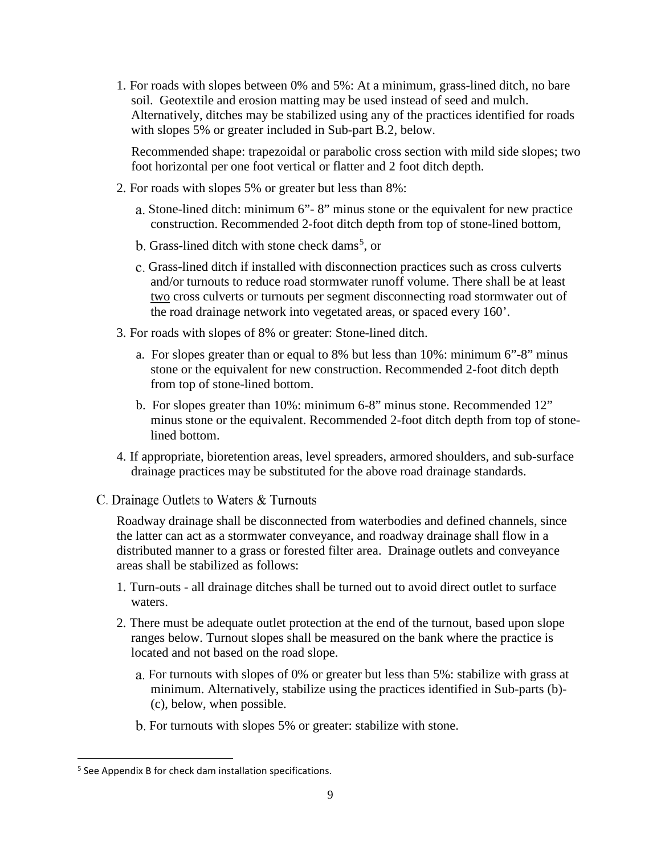1. For roads with slopes between 0% and 5%: At a minimum, grass-lined ditch, no bare soil. Geotextile and erosion matting may be used instead of seed and mulch. Alternatively, ditches may be stabilized using any of the practices identified for roads with slopes 5% or greater included in Sub-part B.2, below.

Recommended shape: trapezoidal or parabolic cross section with mild side slopes; two foot horizontal per one foot vertical or flatter and 2 foot ditch depth.

- 2. For roads with slopes 5% or greater but less than 8%:
	- Stone-lined ditch: minimum 6"- 8" minus stone or the equivalent for new practice construction. Recommended 2-foot ditch depth from top of stone-lined bottom,
	- Grass-lined ditch with stone check dams<sup>[5](#page-12-0)</sup>, or
	- Grass-lined ditch if installed with disconnection practices such as cross culverts and/or turnouts to reduce road stormwater runoff volume. There shall be at least two cross culverts or turnouts per segment disconnecting road stormwater out of the road drainage network into vegetated areas, or spaced every 160'.
- 3. For roads with slopes of 8% or greater: Stone-lined ditch.
	- a. For slopes greater than or equal to 8% but less than 10%: minimum 6"-8" minus stone or the equivalent for new construction. Recommended 2-foot ditch depth from top of stone-lined bottom.
	- b. For slopes greater than 10%: minimum 6-8" minus stone. Recommended 12" minus stone or the equivalent. Recommended 2-foot ditch depth from top of stonelined bottom.
- 4. If appropriate, bioretention areas, level spreaders, armored shoulders, and sub-surface drainage practices may be substituted for the above road drainage standards.
- C. Drainage Outlets to Waters & Turnouts

Roadway drainage shall be disconnected from waterbodies and defined channels, since the latter can act as a stormwater conveyance, and roadway drainage shall flow in a distributed manner to a grass or forested filter area. Drainage outlets and conveyance areas shall be stabilized as follows:

- 1. Turn-outs all drainage ditches shall be turned out to avoid direct outlet to surface waters.
- 2. There must be adequate outlet protection at the end of the turnout, based upon slope ranges below. Turnout slopes shall be measured on the bank where the practice is located and not based on the road slope.
	- For turnouts with slopes of 0% or greater but less than 5%: stabilize with grass at minimum. Alternatively, stabilize using the practices identified in Sub-parts (b)- (c), below, when possible.
	- b. For turnouts with slopes 5% or greater: stabilize with stone.

<span id="page-12-0"></span> <sup>5</sup> See Appendix B for check dam installation specifications.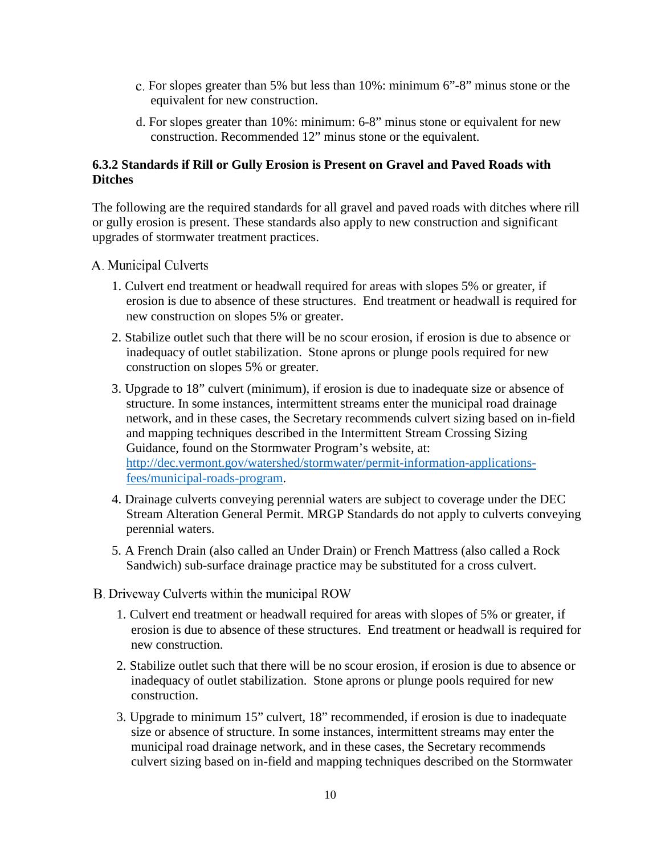- c. For slopes greater than 5% but less than  $10\%$ : minimum  $6^{\circ}$ -8" minus stone or the equivalent for new construction.
- d. For slopes greater than 10%: minimum: 6-8" minus stone or equivalent for new construction. Recommended 12" minus stone or the equivalent.

#### <span id="page-13-0"></span>**6.3.2 Standards if Rill or Gully Erosion is Present on Gravel and Paved Roads with Ditches**

The following are the required standards for all gravel and paved roads with ditches where rill or gully erosion is present. These standards also apply to new construction and significant upgrades of stormwater treatment practices.

- A. Municipal Culverts
	- 1. Culvert end treatment or headwall required for areas with slopes 5% or greater, if erosion is due to absence of these structures. End treatment or headwall is required for new construction on slopes 5% or greater.
	- 2. Stabilize outlet such that there will be no scour erosion, if erosion is due to absence or inadequacy of outlet stabilization. Stone aprons or plunge pools required for new construction on slopes 5% or greater.
	- 3. Upgrade to 18" culvert (minimum), if erosion is due to inadequate size or absence of structure. In some instances, intermittent streams enter the municipal road drainage network, and in these cases, the Secretary recommends culvert sizing based on in-field and mapping techniques described in the Intermittent Stream Crossing Sizing Guidance, found on the Stormwater Program's website, at: [http://dec.vermont.gov/watershed/stormwater/permit-information-applications](http://dec.vermont.gov/watershed/stormwater/permit-information-applications-fees/municipal-roads-program)[fees/municipal-roads-program.](http://dec.vermont.gov/watershed/stormwater/permit-information-applications-fees/municipal-roads-program)
	- 4. Drainage culverts conveying perennial waters are subject to coverage under the DEC Stream Alteration General Permit. MRGP Standards do not apply to culverts conveying perennial waters.
	- 5. A French Drain (also called an Under Drain) or French Mattress (also called a Rock Sandwich) sub-surface drainage practice may be substituted for a cross culvert.
- B. Driveway Culverts within the municipal ROW
	- 1. Culvert end treatment or headwall required for areas with slopes of 5% or greater, if erosion is due to absence of these structures. End treatment or headwall is required for new construction.
	- 2. Stabilize outlet such that there will be no scour erosion, if erosion is due to absence or inadequacy of outlet stabilization. Stone aprons or plunge pools required for new construction.
	- 3. Upgrade to minimum 15" culvert, 18" recommended, if erosion is due to inadequate size or absence of structure. In some instances, intermittent streams may enter the municipal road drainage network, and in these cases, the Secretary recommends culvert sizing based on in-field and mapping techniques described on the Stormwater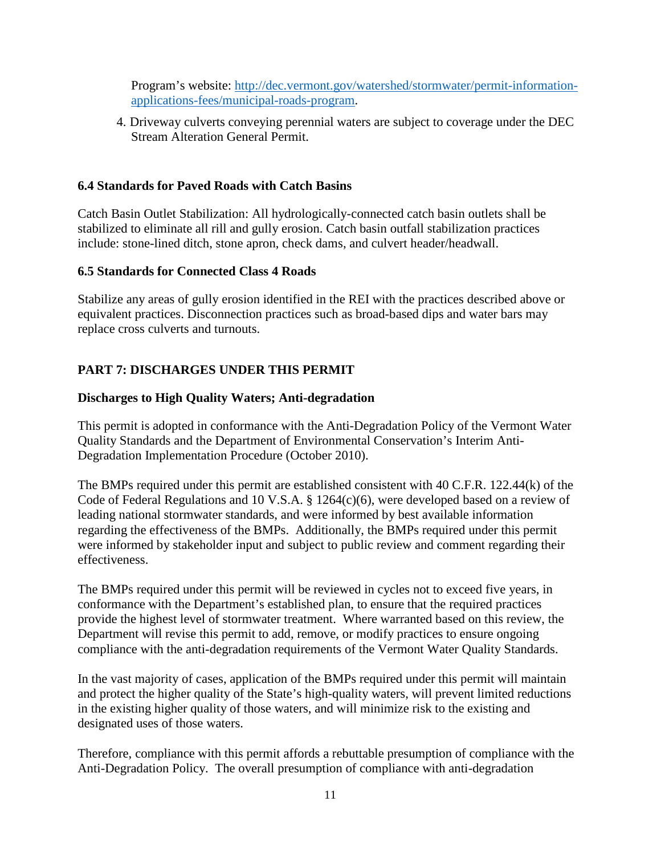Program's website: [http://dec.vermont.gov/watershed/stormwater/permit-information](http://dec.vermont.gov/watershed/stormwater/permit-information-applications-fees/municipal-roads-program)[applications-fees/municipal-roads-program.](http://dec.vermont.gov/watershed/stormwater/permit-information-applications-fees/municipal-roads-program)

4. Driveway culverts conveying perennial waters are subject to coverage under the DEC Stream Alteration General Permit.

#### <span id="page-14-0"></span>**6.4 Standards for Paved Roads with Catch Basins**

Catch Basin Outlet Stabilization: All hydrologically-connected catch basin outlets shall be stabilized to eliminate all rill and gully erosion. Catch basin outfall stabilization practices include: stone-lined ditch, stone apron, check dams, and culvert header/headwall.

#### <span id="page-14-1"></span>**6.5 Standards for Connected Class 4 Roads**

Stabilize any areas of gully erosion identified in the REI with the practices described above or equivalent practices. Disconnection practices such as broad-based dips and water bars may replace cross culverts and turnouts.

### <span id="page-14-2"></span>**PART 7: DISCHARGES UNDER THIS PERMIT**

#### <span id="page-14-3"></span>**Discharges to High Quality Waters; Anti-degradation**

This permit is adopted in conformance with the Anti-Degradation Policy of the Vermont Water Quality Standards and the Department of Environmental Conservation's Interim Anti-Degradation Implementation Procedure (October 2010).

The BMPs required under this permit are established consistent with 40 C.F.R. 122.44(k) of the Code of Federal Regulations and 10 V.S.A. § 1264(c)(6), were developed based on a review of leading national stormwater standards, and were informed by best available information regarding the effectiveness of the BMPs. Additionally, the BMPs required under this permit were informed by stakeholder input and subject to public review and comment regarding their effectiveness.

The BMPs required under this permit will be reviewed in cycles not to exceed five years, in conformance with the Department's established plan, to ensure that the required practices provide the highest level of stormwater treatment. Where warranted based on this review, the Department will revise this permit to add, remove, or modify practices to ensure ongoing compliance with the anti-degradation requirements of the Vermont Water Quality Standards.

In the vast majority of cases, application of the BMPs required under this permit will maintain and protect the higher quality of the State's high-quality waters, will prevent limited reductions in the existing higher quality of those waters, and will minimize risk to the existing and designated uses of those waters.

Therefore, compliance with this permit affords a rebuttable presumption of compliance with the Anti-Degradation Policy. The overall presumption of compliance with anti-degradation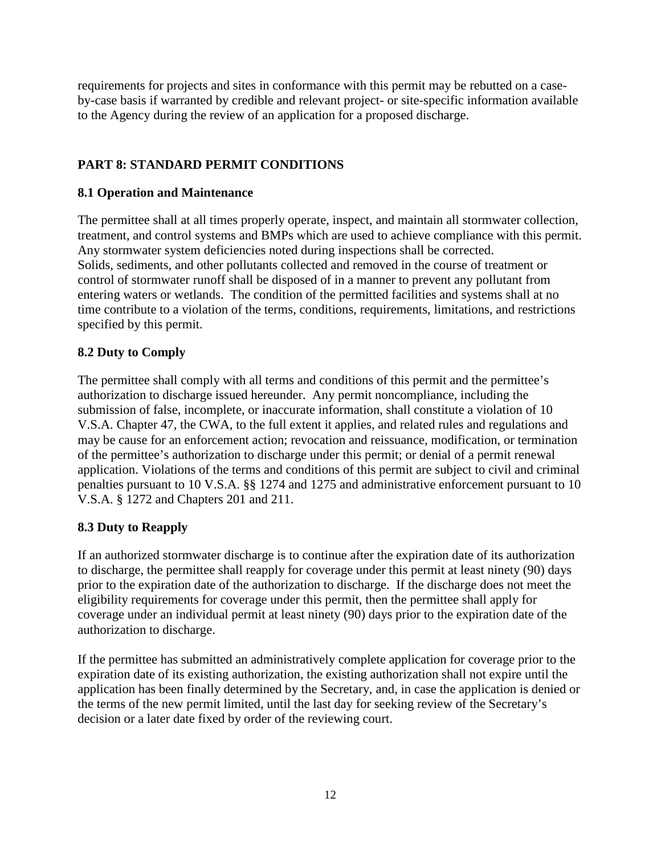requirements for projects and sites in conformance with this permit may be rebutted on a caseby-case basis if warranted by credible and relevant project- or site-specific information available to the Agency during the review of an application for a proposed discharge.

## <span id="page-15-0"></span>**PART 8: STANDARD PERMIT CONDITIONS**

### **8.1 Operation and Maintenance**

The permittee shall at all times properly operate, inspect, and maintain all stormwater collection, treatment, and control systems and BMPs which are used to achieve compliance with this permit. Any stormwater system deficiencies noted during inspections shall be corrected. Solids, sediments, and other pollutants collected and removed in the course of treatment or control of stormwater runoff shall be disposed of in a manner to prevent any pollutant from entering waters or wetlands. The condition of the permitted facilities and systems shall at no time contribute to a violation of the terms, conditions, requirements, limitations, and restrictions specified by this permit.

### **8.2 Duty to Comply**

The permittee shall comply with all terms and conditions of this permit and the permittee's authorization to discharge issued hereunder. Any permit noncompliance, including the submission of false, incomplete, or inaccurate information, shall constitute a violation of 10 V.S.A. Chapter 47, the CWA, to the full extent it applies, and related rules and regulations and may be cause for an enforcement action; revocation and reissuance, modification, or termination of the permittee's authorization to discharge under this permit; or denial of a permit renewal application. Violations of the terms and conditions of this permit are subject to civil and criminal penalties pursuant to 10 V.S.A. §§ 1274 and 1275 and administrative enforcement pursuant to 10 V.S.A. § 1272 and Chapters 201 and 211.

#### **8.3 Duty to Reapply**

If an authorized stormwater discharge is to continue after the expiration date of its authorization to discharge, the permittee shall reapply for coverage under this permit at least ninety (90) days prior to the expiration date of the authorization to discharge. If the discharge does not meet the eligibility requirements for coverage under this permit, then the permittee shall apply for coverage under an individual permit at least ninety (90) days prior to the expiration date of the authorization to discharge.

If the permittee has submitted an administratively complete application for coverage prior to the expiration date of its existing authorization, the existing authorization shall not expire until the application has been finally determined by the Secretary, and, in case the application is denied or the terms of the new permit limited, until the last day for seeking review of the Secretary's decision or a later date fixed by order of the reviewing court.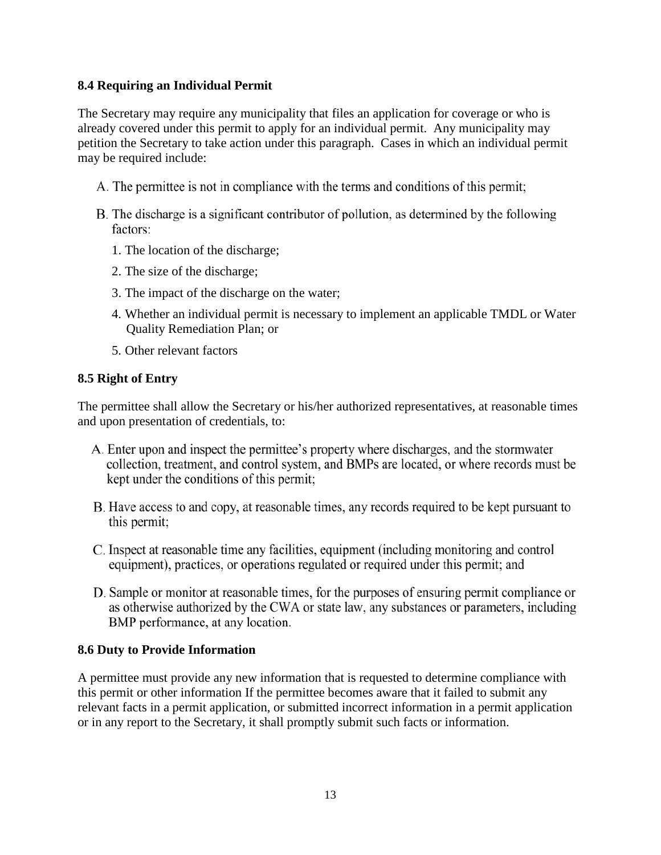#### **8.4 Requiring an Individual Permit**

The Secretary may require any municipality that files an application for coverage or who is already covered under this permit to apply for an individual permit. Any municipality may petition the Secretary to take action under this paragraph. Cases in which an individual permit may be required include:

- A. The permittee is not in compliance with the terms and conditions of this permit;
- B. The discharge is a significant contributor of pollution, as determined by the following factors:
	- 1. The location of the discharge;
	- 2. The size of the discharge;
	- 3. The impact of the discharge on the water;
	- 4. Whether an individual permit is necessary to implement an applicable TMDL or Water Quality Remediation Plan; or
	- 5. Other relevant factors

#### **8.5 Right of Entry**

The permittee shall allow the Secretary or his/her authorized representatives, at reasonable times and upon presentation of credentials, to:

- A. Enter upon and inspect the permittee's property where discharges, and the stormwater collection, treatment, and control system, and BMPs are located, or where records must be kept under the conditions of this permit;
- B. Have access to and copy, at reasonable times, any records required to be kept pursuant to this permit;
- C. Inspect at reasonable time any facilities, equipment (including monitoring and control equipment), practices, or operations regulated or required under this permit; and
- D. Sample or monitor at reasonable times, for the purposes of ensuring permit compliance or as otherwise authorized by the CWA or state law, any substances or parameters, including BMP performance, at any location.

#### **8.6 Duty to Provide Information**

A permittee must provide any new information that is requested to determine compliance with this permit or other information If the permittee becomes aware that it failed to submit any relevant facts in a permit application, or submitted incorrect information in a permit application or in any report to the Secretary, it shall promptly submit such facts or information.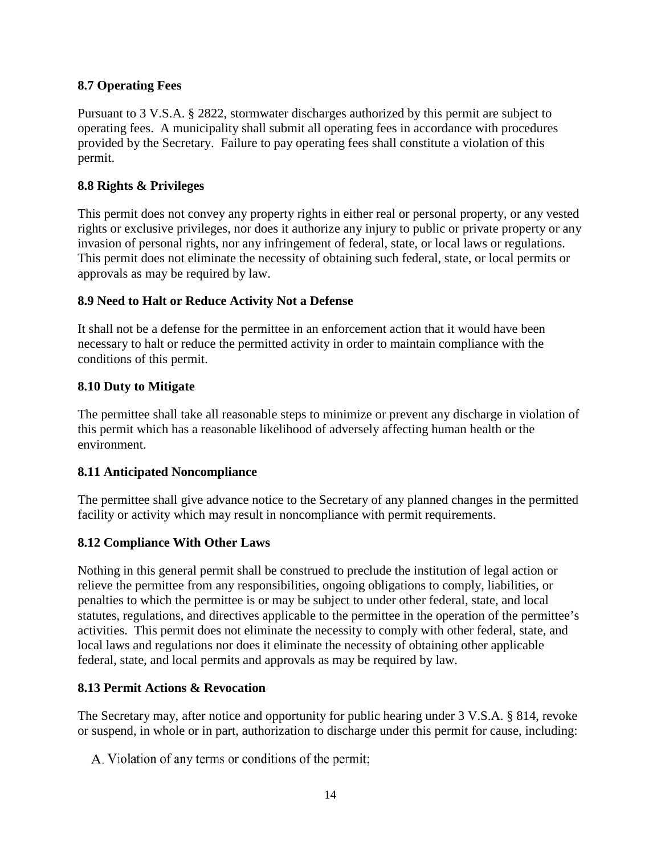#### **8.7 Operating Fees**

Pursuant to 3 V.S.A. § 2822, stormwater discharges authorized by this permit are subject to operating fees. A municipality shall submit all operating fees in accordance with procedures provided by the Secretary. Failure to pay operating fees shall constitute a violation of this permit.

### **8.8 Rights & Privileges**

This permit does not convey any property rights in either real or personal property, or any vested rights or exclusive privileges, nor does it authorize any injury to public or private property or any invasion of personal rights, nor any infringement of federal, state, or local laws or regulations. This permit does not eliminate the necessity of obtaining such federal, state, or local permits or approvals as may be required by law.

### **8.9 Need to Halt or Reduce Activity Not a Defense**

It shall not be a defense for the permittee in an enforcement action that it would have been necessary to halt or reduce the permitted activity in order to maintain compliance with the conditions of this permit.

### **8.10 Duty to Mitigate**

The permittee shall take all reasonable steps to minimize or prevent any discharge in violation of this permit which has a reasonable likelihood of adversely affecting human health or the environment.

## **8.11 Anticipated Noncompliance**

The permittee shall give advance notice to the Secretary of any planned changes in the permitted facility or activity which may result in noncompliance with permit requirements.

## **8.12 Compliance With Other Laws**

Nothing in this general permit shall be construed to preclude the institution of legal action or relieve the permittee from any responsibilities, ongoing obligations to comply, liabilities, or penalties to which the permittee is or may be subject to under other federal, state, and local statutes, regulations, and directives applicable to the permittee in the operation of the permittee's activities. This permit does not eliminate the necessity to comply with other federal, state, and local laws and regulations nor does it eliminate the necessity of obtaining other applicable federal, state, and local permits and approvals as may be required by law.

## **8.13 Permit Actions & Revocation**

The Secretary may, after notice and opportunity for public hearing under 3 V.S.A. § 814, revoke or suspend, in whole or in part, authorization to discharge under this permit for cause, including:

A. Violation of any terms or conditions of the permit;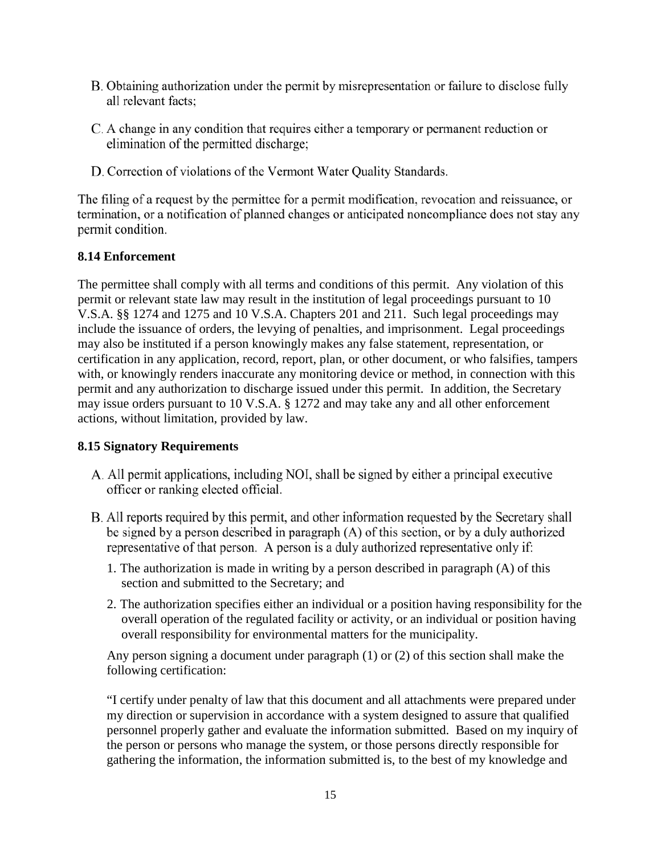- B. Obtaining authorization under the permit by misrepresentation or failure to disclose fully all relevant facts;
- C. A change in any condition that requires either a temporary or permanent reduction or elimination of the permitted discharge;
- D. Correction of violations of the Vermont Water Quality Standards.

The filing of a request by the permittee for a permit modification, revocation and reissuance, or termination, or a notification of planned changes or anticipated noncompliance does not stay any permit condition.

### **8.14 Enforcement**

The permittee shall comply with all terms and conditions of this permit. Any violation of this permit or relevant state law may result in the institution of legal proceedings pursuant to 10 V.S.A. §§ 1274 and 1275 and 10 V.S.A. Chapters 201 and 211. Such legal proceedings may include the issuance of orders, the levying of penalties, and imprisonment. Legal proceedings may also be instituted if a person knowingly makes any false statement, representation, or certification in any application, record, report, plan, or other document, or who falsifies, tampers with, or knowingly renders inaccurate any monitoring device or method, in connection with this permit and any authorization to discharge issued under this permit. In addition, the Secretary may issue orders pursuant to 10 V.S.A. § 1272 and may take any and all other enforcement actions, without limitation, provided by law.

#### **8.15 Signatory Requirements**

- A. All permit applications, including NOI, shall be signed by either a principal executive officer or ranking elected official.
- B. All reports required by this permit, and other information requested by the Secretary shall be signed by a person described in paragraph (A) of this section, or by a duly authorized representative of that person. A person is a duly authorized representative only if:
	- 1. The authorization is made in writing by a person described in paragraph (A) of this section and submitted to the Secretary; and
	- 2. The authorization specifies either an individual or a position having responsibility for the overall operation of the regulated facility or activity, or an individual or position having overall responsibility for environmental matters for the municipality.

Any person signing a document under paragraph (1) or (2) of this section shall make the following certification:

"I certify under penalty of law that this document and all attachments were prepared under my direction or supervision in accordance with a system designed to assure that qualified personnel properly gather and evaluate the information submitted. Based on my inquiry of the person or persons who manage the system, or those persons directly responsible for gathering the information, the information submitted is, to the best of my knowledge and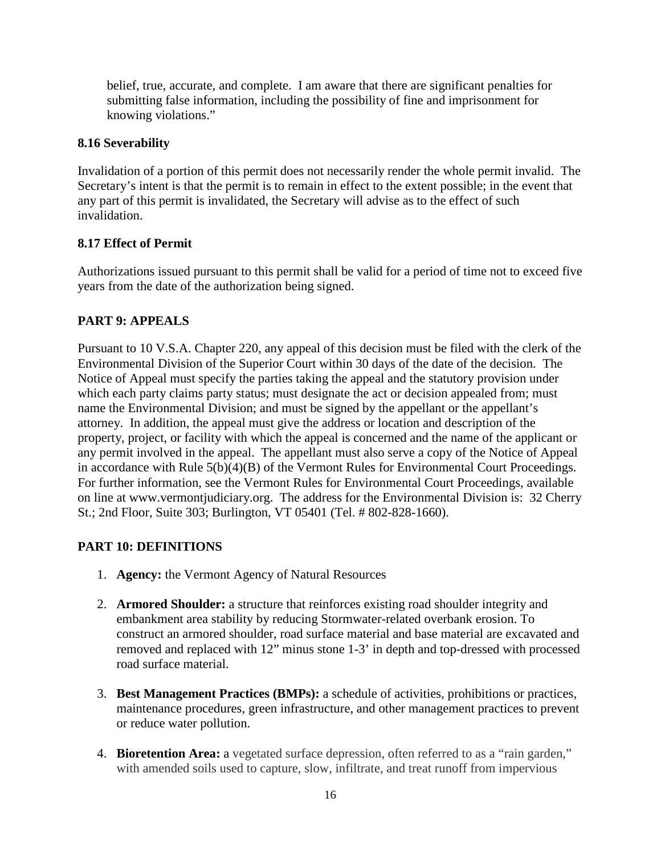belief, true, accurate, and complete. I am aware that there are significant penalties for submitting false information, including the possibility of fine and imprisonment for knowing violations."

#### **8.16 Severability**

Invalidation of a portion of this permit does not necessarily render the whole permit invalid. The Secretary's intent is that the permit is to remain in effect to the extent possible; in the event that any part of this permit is invalidated, the Secretary will advise as to the effect of such invalidation.

### **8.17 Effect of Permit**

Authorizations issued pursuant to this permit shall be valid for a period of time not to exceed five years from the date of the authorization being signed.

## <span id="page-19-0"></span>**PART 9: APPEALS**

Pursuant to 10 V.S.A. Chapter 220, any appeal of this decision must be filed with the clerk of the Environmental Division of the Superior Court within 30 days of the date of the decision. The Notice of Appeal must specify the parties taking the appeal and the statutory provision under which each party claims party status; must designate the act or decision appealed from; must name the Environmental Division; and must be signed by the appellant or the appellant's attorney. In addition, the appeal must give the address or location and description of the property, project, or facility with which the appeal is concerned and the name of the applicant or any permit involved in the appeal. The appellant must also serve a copy of the Notice of Appeal in accordance with Rule 5(b)(4)(B) of the Vermont Rules for Environmental Court Proceedings. For further information, see the Vermont Rules for Environmental Court Proceedings, available on line at www.vermontjudiciary.org. The address for the Environmental Division is: 32 Cherry St.; 2nd Floor, Suite 303; Burlington, VT 05401 (Tel. # 802-828-1660).

## <span id="page-19-1"></span>**PART 10: DEFINITIONS**

- 1. **Agency:** the Vermont Agency of Natural Resources
- 2. **Armored Shoulder:** a structure that reinforces existing road shoulder integrity and embankment area stability by reducing Stormwater-related overbank erosion. To construct an armored shoulder, road surface material and base material are excavated and removed and replaced with 12" minus stone 1-3' in depth and top-dressed with processed road surface material.
- 3. **Best Management Practices (BMPs):** a schedule of activities, prohibitions or practices, maintenance procedures, green infrastructure, and other management practices to prevent or reduce water pollution.
- 4. **Bioretention Area:** a vegetated surface depression, often referred to as a "rain garden," with amended soils used to capture, slow, infiltrate, and treat runoff from impervious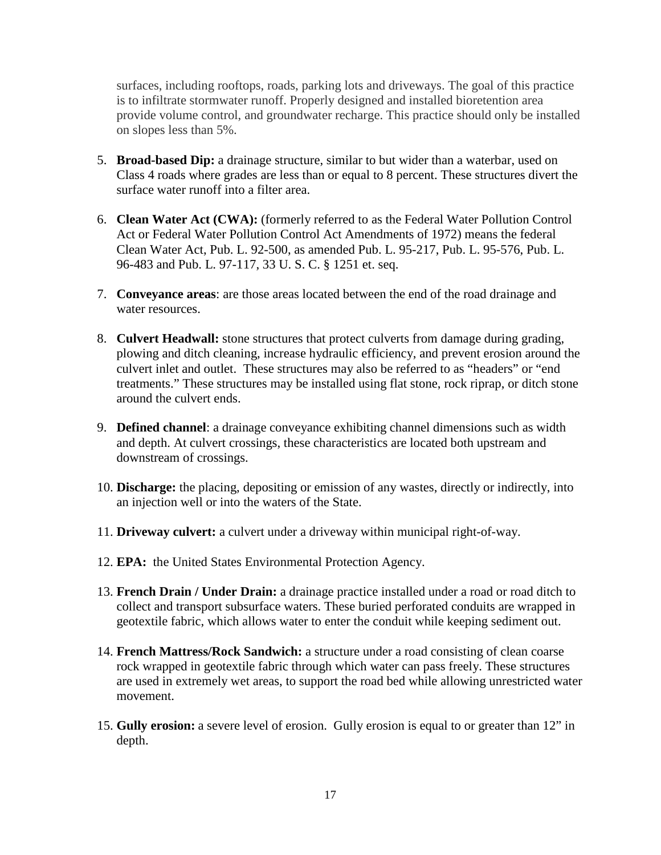surfaces, including rooftops, roads, parking lots and driveways. The goal of this practice is to infiltrate stormwater runoff. Properly designed and installed bioretention area provide volume control, and groundwater recharge. This practice should only be installed on slopes less than 5%.

- 5. **Broad-based Dip:** a drainage structure, similar to but wider than a waterbar, used on Class 4 roads where grades are less than or equal to 8 percent. These structures divert the surface water runoff into a filter area.
- 6. **Clean Water Act (CWA):** (formerly referred to as the Federal Water Pollution Control Act or Federal Water Pollution Control Act Amendments of 1972) means the federal Clean Water Act, Pub. L. 92-500, as amended Pub. L. 95-217, Pub. L. 95-576, Pub. L. 96-483 and Pub. L. 97-117, 33 U. S. C. § 1251 et. seq.
- 7. **Conveyance areas**: are those areas located between the end of the road drainage and water resources.
- 8. **Culvert Headwall:** stone structures that protect culverts from damage during grading, plowing and ditch cleaning, increase hydraulic efficiency, and prevent erosion around the culvert inlet and outlet. These structures may also be referred to as "headers" or "end treatments." These structures may be installed using flat stone, rock riprap, or ditch stone around the culvert ends.
- 9. **Defined channel**: a drainage conveyance exhibiting channel dimensions such as width and depth. At culvert crossings, these characteristics are located both upstream and downstream of crossings.
- 10. **Discharge:** the placing, depositing or emission of any wastes, directly or indirectly, into an injection well or into the waters of the State.
- 11. **Driveway culvert:** a culvert under a driveway within municipal right-of-way.
- 12. **EPA:** the United States Environmental Protection Agency.
- 13. **French Drain / Under Drain:** a drainage practice installed under a road or road ditch to collect and transport subsurface waters. These buried perforated conduits are wrapped in geotextile fabric, which allows water to enter the conduit while keeping sediment out.
- 14. **French Mattress/Rock Sandwich:** a structure under a road consisting of clean coarse rock wrapped in geotextile fabric through which water can pass freely. These structures are used in extremely wet areas, to support the road bed while allowing unrestricted water movement.
- 15. **Gully erosion:** a severe level of erosion. Gully erosion is equal to or greater than 12" in depth.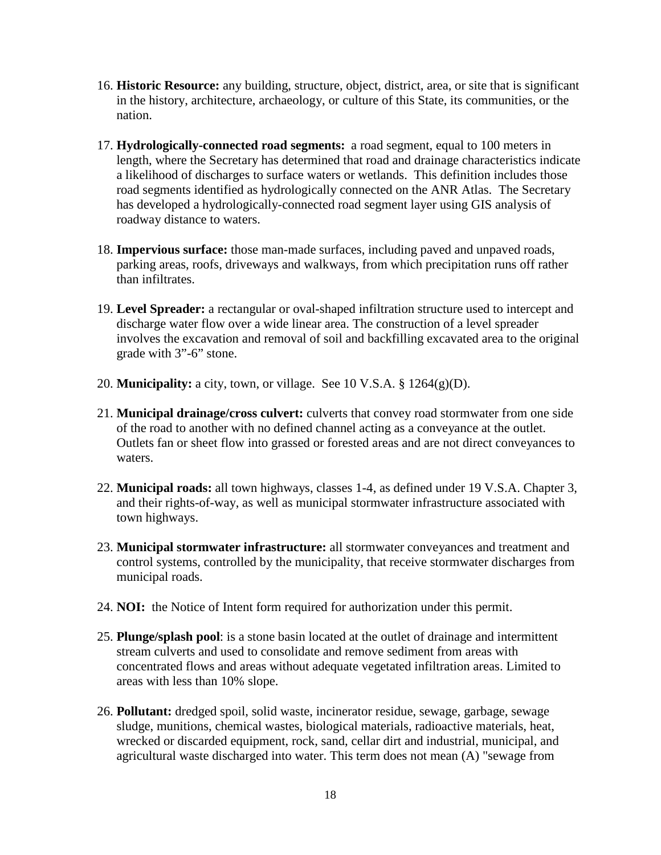- 16. **Historic Resource:** any building, structure, object, district, area, or site that is significant in the history, architecture, archaeology, or culture of this State, its communities, or the nation.
- 17. **Hydrologically-connected road segments:** a road segment, equal to 100 meters in length, where the Secretary has determined that road and drainage characteristics indicate a likelihood of discharges to surface waters or wetlands. This definition includes those road segments identified as hydrologically connected on the ANR Atlas. The Secretary has developed a hydrologically-connected road segment layer using GIS analysis of roadway distance to waters.
- 18. **Impervious surface:** those man-made surfaces, including paved and unpaved roads, parking areas, roofs, driveways and walkways, from which precipitation runs off rather than infiltrates.
- 19. **Level Spreader:** a rectangular or oval-shaped infiltration structure used to intercept and discharge water flow over a wide linear area. The construction of a level spreader involves the excavation and removal of soil and backfilling excavated area to the original grade with 3"-6" stone.
- 20. **Municipality:** a city, town, or village. See 10 V.S.A. § 1264(g)(D).
- 21. **Municipal drainage/cross culvert:** culverts that convey road stormwater from one side of the road to another with no defined channel acting as a conveyance at the outlet. Outlets fan or sheet flow into grassed or forested areas and are not direct conveyances to waters.
- 22. **Municipal roads:** all town highways, classes 1-4, as defined under 19 V.S.A. Chapter 3, and their rights-of-way, as well as municipal stormwater infrastructure associated with town highways.
- 23. **Municipal stormwater infrastructure:** all stormwater conveyances and treatment and control systems, controlled by the municipality, that receive stormwater discharges from municipal roads.
- 24. **NOI:** the Notice of Intent form required for authorization under this permit.
- 25. **Plunge/splash pool**: is a stone basin located at the outlet of drainage and intermittent stream culverts and used to consolidate and remove sediment from areas with concentrated flows and areas without adequate vegetated infiltration areas. Limited to areas with less than 10% slope.
- 26. **Pollutant:** dredged spoil, solid waste, incinerator residue, sewage, garbage, sewage sludge, munitions, chemical wastes, biological materials, radioactive materials, heat, wrecked or discarded equipment, rock, sand, cellar dirt and industrial, municipal, and agricultural waste discharged into water. This term does not mean (A) "sewage from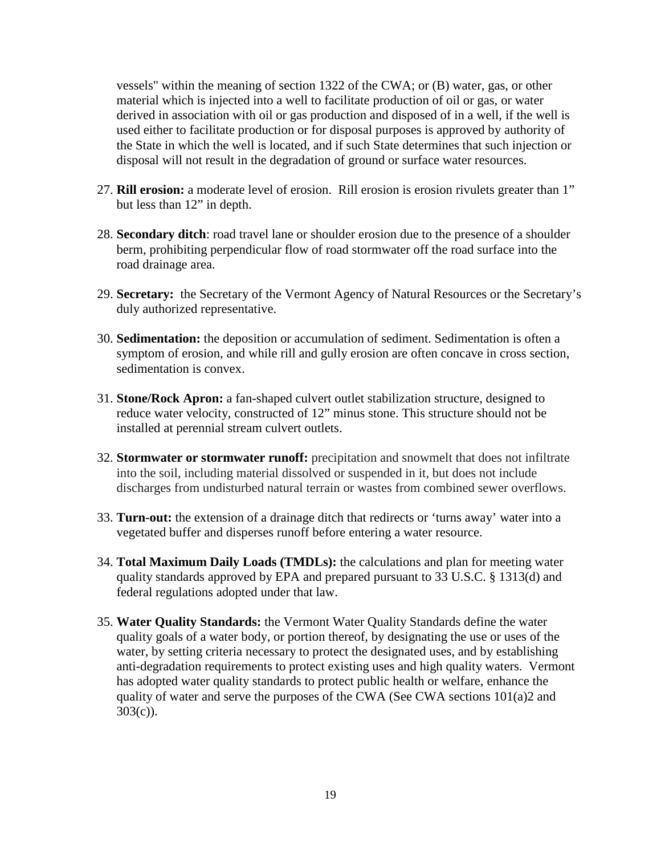vessels" within the meaning of section 1322 of the CWA; or (B) water, gas, or other material which is injected into a well to facilitate production of oil or gas, or water derived in association with oil or gas production and disposed of in a well, if the well is used either to facilitate production or for disposal purposes is approved by authority of the State in which the well is located, and if such State determines that such injection or disposal will not result in the degradation of ground or surface water resources.

- 27. **Rill erosion:** a moderate level of erosion. Rill erosion is erosion rivulets greater than 1" but less than 12" in depth.
- 28. **Secondary ditch**: road travel lane or shoulder erosion due to the presence of a shoulder berm, prohibiting perpendicular flow of road stormwater off the road surface into the road drainage area.
- 29. **Secretary:** the Secretary of the Vermont Agency of Natural Resources or the Secretary's duly authorized representative.
- 30. **Sedimentation:** the deposition or accumulation of sediment. Sedimentation is often a symptom of erosion, and while rill and gully erosion are often concave in cross section, sedimentation is convex.
- 31. **Stone/Rock Apron:** a fan-shaped culvert outlet stabilization structure, designed to reduce water velocity, constructed of 12" minus stone. This structure should not be installed at perennial stream culvert outlets.
- 32. **Stormwater or stormwater runoff:** precipitation and snowmelt that does not infiltrate into the soil, including material dissolved or suspended in it, but does not include discharges from undisturbed natural terrain or wastes from combined sewer overflows.
- 33. **Turn-out:** the extension of a drainage ditch that redirects or 'turns away' water into a vegetated buffer and disperses runoff before entering a water resource.
- 34. **Total Maximum Daily Loads (TMDLs):** the calculations and plan for meeting water quality standards approved by EPA and prepared pursuant to 33 U.S.C. § 1313(d) and federal regulations adopted under that law.
- 35. **Water Quality Standards:** the Vermont Water Quality Standards define the water quality goals of a water body, or portion thereof, by designating the use or uses of the water, by setting criteria necessary to protect the designated uses, and by establishing anti-degradation requirements to protect existing uses and high quality waters. Vermont has adopted water quality standards to protect public health or welfare, enhance the quality of water and serve the purposes of the CWA (See CWA sections 101(a)2 and 303(c)).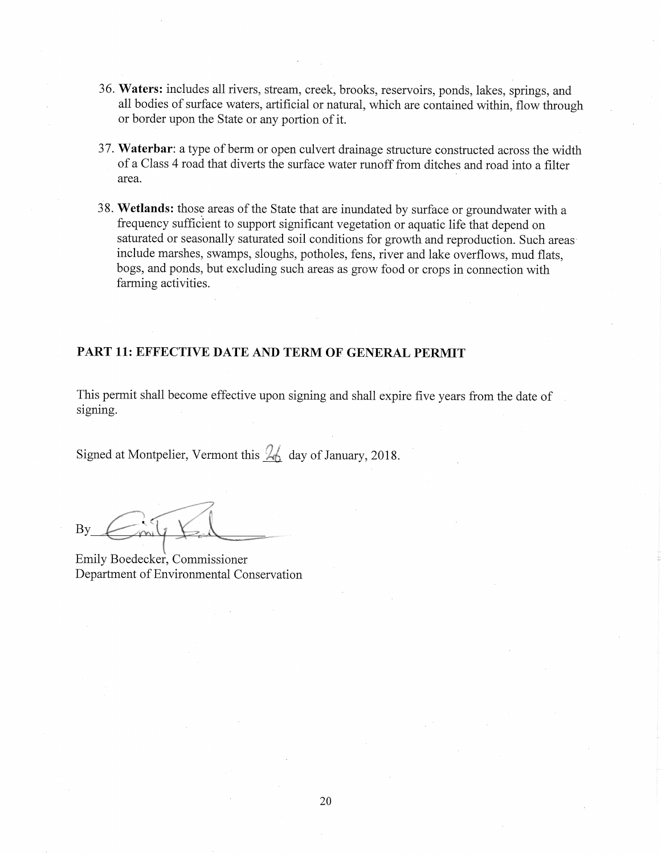- 36. Waters: includes all rivers, stream, creek, brooks, reservoirs, ponds, lakes, springs, and all bodies of surface waters, artificial or natural, which are contained within, flow through or border upon the State or any portion of it.
- 37. Waterbar: a type of berm or open culvert drainage structure constructed across the width of a Class 4 road that diverts the surface water runoff from ditches and road into a filter area.
- 38. Wetlands: those areas of the State that are inundated by surface or groundwater with a frequency sufficient to support significant vegetation or aquatic life that depend on saturated or seasonally saturated soil conditions for growth and reproduction. Such areas include marshes, swamps, sloughs, potholes, fens, river and lake overflows, mud flats, bogs, and ponds, but excluding such areas as grow food or crops in connection with farming activities.

#### PART 11: EFFECTIVE DATE AND TERM OF GENERAL PERMIT

This permit shall become effective upon signing and shall expire five years from the date of signing.

Signed at Montpelier, Vermont this  $\frac{2}{6}$  day of January, 2018.

By

Emily Boedecker, Commissioner Department of Environmental Conservation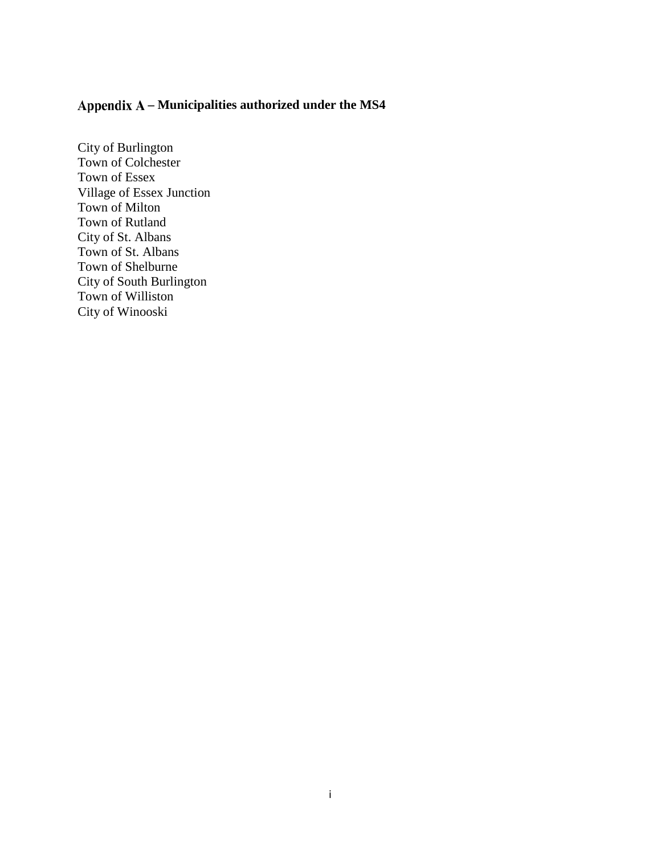# <span id="page-24-0"></span>**– Municipalities authorized under the MS4**

City of Burlington Town of Colchester Town of Essex Village of Essex Junction Town of Milton Town of Rutland City of St. Albans Town of St. Albans Town of Shelburne City of South Burlington Town of Williston City of Winooski